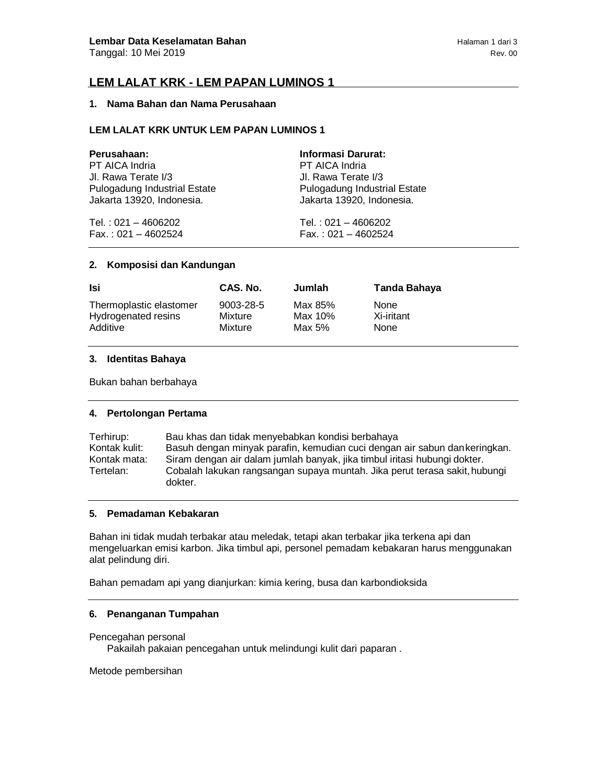# **LEM LALAT KRK - LEM PAPAN LUMINOS 1**

## **1. Nama Bahan dan Nama Perusahaan**

# **LEM LALAT KRK UNTUK LEM PAPAN LUMINOS 1**

| Perusahaan:                         | <b>Informasi Darurat:</b>    |
|-------------------------------------|------------------------------|
| PT AICA Indria                      | PT AICA Indria               |
| Jl. Rawa Terate I/3                 | Jl. Rawa Terate I/3          |
| <b>Pulogadung Industrial Estate</b> | Pulogadung Industrial Estate |
| Jakarta 13920, Indonesia.           | Jakarta 13920, Indonesia.    |
| Tel.: 021 - 4606202                 | Tel.: $021 - 4606202$        |
| $Fax.: 021 - 4602524$               | $Fax.: 021 - 4602524$        |

### **2. Komposisi dan Kandungan**

| Isi                     | CAS. No.  | Jumlah  | Tanda Bahaya |
|-------------------------|-----------|---------|--------------|
| Thermoplastic elastomer | 9003-28-5 | Max 85% | None         |
| Hydrogenated resins     | Mixture   | Max 10% | Xi-iritant   |
| Additive                | Mixture   | Max 5%  | None         |

# **3. Identitas Bahaya**

Bukan bahan berbahaya

# **4. Pertolongan Pertama**

| Terhirup:     | Bau khas dan tidak menyebabkan kondisi berbahaya                           |
|---------------|----------------------------------------------------------------------------|
| Kontak kulit: | Basuh dengan minyak parafin, kemudian cuci dengan air sabun dan keringkan. |
| Kontak mata:  | Siram dengan air dalam jumlah banyak, jika timbul iritasi hubungi dokter.  |
| Tertelan:     | Cobalah lakukan rangsangan supaya muntah. Jika perut terasa sakit, hubungi |
|               | dokter.                                                                    |

## **5. Pemadaman Kebakaran**

Bahan ini tidak mudah terbakar atau meledak, tetapi akan terbakar jika terkena api dan mengeluarkan emisi karbon. Jika timbul api, personel pemadam kebakaran harus menggunakan alat pelindung diri.

Bahan pemadam api yang dianjurkan: kimia kering, busa dan karbondioksida

### **6. Penanganan Tumpahan**

Pencegahan personal Pakailah pakaian pencegahan untuk melindungi kulit dari paparan .

Metode pembersihan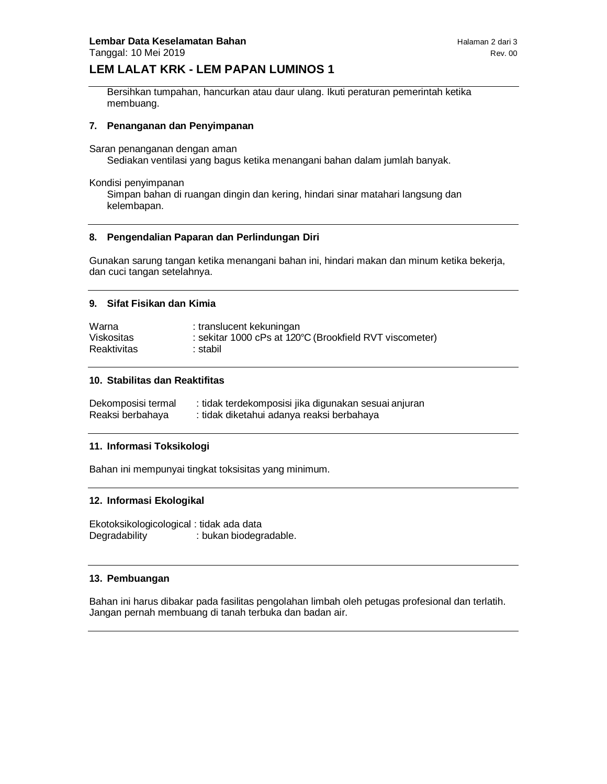# **LEM LALAT KRK - LEM PAPAN LUMINOS 1**

Bersihkan tumpahan, hancurkan atau daur ulang. Ikuti peraturan pemerintah ketika membuang.

# **7. Penanganan dan Penyimpanan**

Saran penanganan dengan aman

Sediakan ventilasi yang bagus ketika menangani bahan dalam jumlah banyak.

Kondisi penyimpanan

Simpan bahan di ruangan dingin dan kering, hindari sinar matahari langsung dan kelembapan.

#### **8. Pengendalian Paparan dan Perlindungan Diri**

Gunakan sarung tangan ketika menangani bahan ini, hindari makan dan minum ketika bekerja, dan cuci tangan setelahnya.

#### **9. Sifat Fisikan dan Kimia**

| Warna       | : translucent kekuningan                                |
|-------------|---------------------------------------------------------|
| Viskositas  | : sekitar 1000 cPs at 120°C (Brookfield RVT viscometer) |
| Reaktivitas | ∶ stabil∶                                               |

### **10. Stabilitas dan Reaktifitas**

| Dekomposisi termal | : tidak terdekomposisi jika digunakan sesuai anjuran |
|--------------------|------------------------------------------------------|
| Reaksi berbahaya   | : tidak diketahui adanya reaksi berbahaya            |

#### **11. Informasi Toksikologi**

Bahan ini mempunyai tingkat toksisitas yang minimum.

# **12. Informasi Ekologikal**

Ekotoksikologicological : tidak ada data Degradability : bukan biodegradable.

### **13. Pembuangan**

Bahan ini harus dibakar pada fasilitas pengolahan limbah oleh petugas profesional dan terlatih. Jangan pernah membuang di tanah terbuka dan badan air.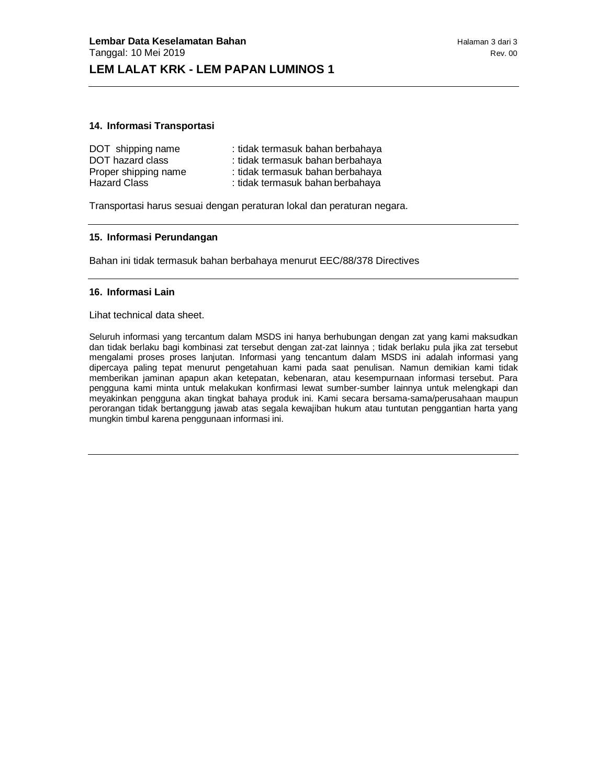### **14. Informasi Transportasi**

| DOT shipping name    | : tidak termasuk bahan berbahaya |
|----------------------|----------------------------------|
| DOT hazard class     | : tidak termasuk bahan berbahaya |
| Proper shipping name | : tidak termasuk bahan berbahaya |
| <b>Hazard Class</b>  | : tidak termasuk bahan berbahaya |

Transportasi harus sesuai dengan peraturan lokal dan peraturan negara.

#### **15. Informasi Perundangan**

Bahan ini tidak termasuk bahan berbahaya menurut EEC/88/378 Directives

#### **16. Informasi Lain**

#### Lihat technical data sheet.

Seluruh informasi yang tercantum dalam MSDS ini hanya berhubungan dengan zat yang kami maksudkan dan tidak berlaku bagi kombinasi zat tersebut dengan zat-zat lainnya ; tidak berlaku pula jika zat tersebut mengalami proses proses lanjutan. Informasi yang tencantum dalam MSDS ini adalah informasi yang dipercaya paling tepat menurut pengetahuan kami pada saat penulisan. Namun demikian kami tidak memberikan jaminan apapun akan ketepatan, kebenaran, atau kesempurnaan informasi tersebut. Para pengguna kami minta untuk melakukan konfirmasi lewat sumber-sumber lainnya untuk melengkapi dan meyakinkan pengguna akan tingkat bahaya produk ini. Kami secara bersama-sama/perusahaan maupun perorangan tidak bertanggung jawab atas segala kewajiban hukum atau tuntutan penggantian harta yang mungkin timbul karena penggunaan informasi ini.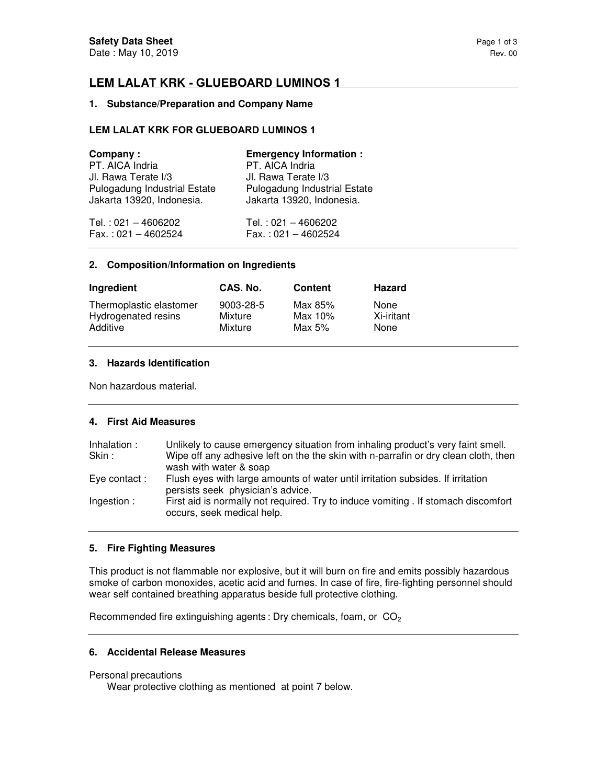# **LEM LALAT KRK - GLUEBOARD LUMINOS 1**

# **1. Substance/Preparation and Company Name**

# **LEM LALAT KRK FOR GLUEBOARD LUMINOS 1**

| Company:                     | <b>Emergency Information:</b>       |
|------------------------------|-------------------------------------|
| PT. AICA Indria              | PT. AICA Indria                     |
| Jl. Rawa Terate I/3          | Jl. Rawa Terate I/3                 |
| Pulogadung Industrial Estate | <b>Pulogadung Industrial Estate</b> |
| Jakarta 13920, Indonesia.    | Jakarta 13920, Indonesia.           |
| Tel.: 021 - 4606202          | Tel.: $021 - 4606202$               |
| $Fax.: 021 - 4602524$        | $Fax.: 021 - 4602524$               |

#### **2. Composition/Information on Ingredients**

| Ingredient              | CAS. No.  | Content | <b>Hazard</b> |
|-------------------------|-----------|---------|---------------|
| Thermoplastic elastomer | 9003-28-5 | Max 85% | None          |
| Hydrogenated resins     | Mixture   | Max 10% | Xi-iritant    |
| Additive                | Mixture   | Max 5%  | None          |

# **3. Hazards Identification**

Non hazardous material.

# **4. First Aid Measures**

| Inhalation : | Unlikely to cause emergency situation from inhaling product's very faint smell.                                      |
|--------------|----------------------------------------------------------------------------------------------------------------------|
| Skin:        | Wipe off any adhesive left on the the skin with n-parrafin or dry clean cloth, then                                  |
|              | wash with water & soap                                                                                               |
| Eye contact: | Flush eyes with large amounts of water until irritation subsides. If irritation<br>persists seek physician's advice. |
| Ingestion:   | First aid is normally not required. Try to induce vomiting . If stomach discomfort<br>occurs, seek medical help.     |

# **5. Fire Fighting Measures**

This product is not flammable nor explosive, but it will burn on fire and emits possibly hazardous smoke of carbon monoxides, acetic acid and fumes. In case of fire, fire-fighting personnel should wear self contained breathing apparatus beside full protective clothing.

Recommended fire extinguishing agents : Dry chemicals, foam, or  $CO<sub>2</sub>$ 

# **6. Accidental Release Measures**

## Personal precautions

Wear protective clothing as mentioned at point 7 below.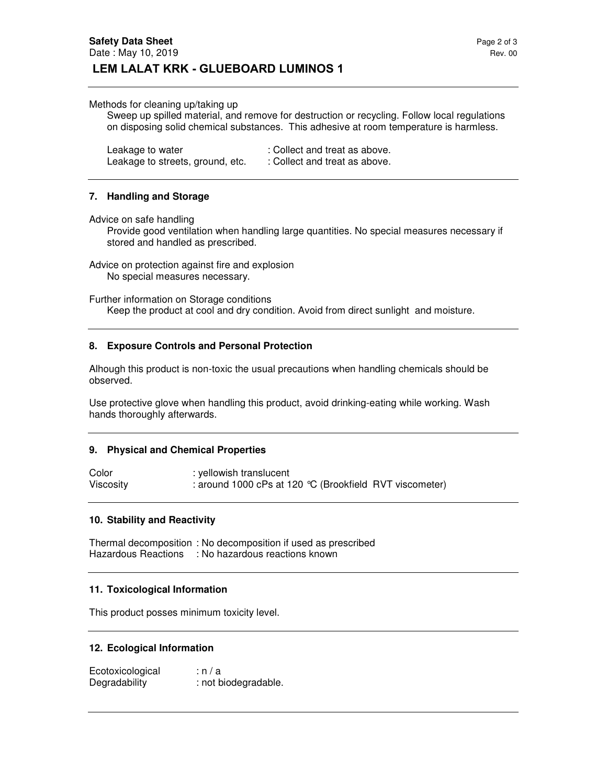#### Methods for cleaning up/taking up

Sweep up spilled material, and remove for destruction or recycling. Follow local regulations on disposing solid chemical substances. This adhesive at room temperature is harmless.

| Leakage to water                 | : Collect and treat as above. |
|----------------------------------|-------------------------------|
| Leakage to streets, ground, etc. | : Collect and treat as above. |

### **7. Handling and Storage**

Advice on safe handling

Provide good ventilation when handling large quantities. No special measures necessary if stored and handled as prescribed.

Advice on protection against fire and explosion No special measures necessary.

Further information on Storage conditions Keep the product at cool and dry condition. Avoid from direct sunlight and moisture.

### **8. Exposure Controls and Personal Protection**

Alhough this product is non-toxic the usual precautions when handling chemicals should be observed.

Use protective glove when handling this product, avoid drinking-eating while working. Wash hands thoroughly afterwards.

#### **9. Physical and Chemical Properties**

Color : yellowish translucent Viscosity : around 1000 cPs at 120 °C (Brookfield RVT viscometer)

#### **10. Stability and Reactivity**

Thermal decomposition : No decomposition if used as prescribed Hazardous Reactions : No hazardous reactions known

## **11. Toxicological Information**

This product posses minimum toxicity level.

### **12. Ecological Information**

Ecotoxicological : n / a Degradability : not biodegradable.